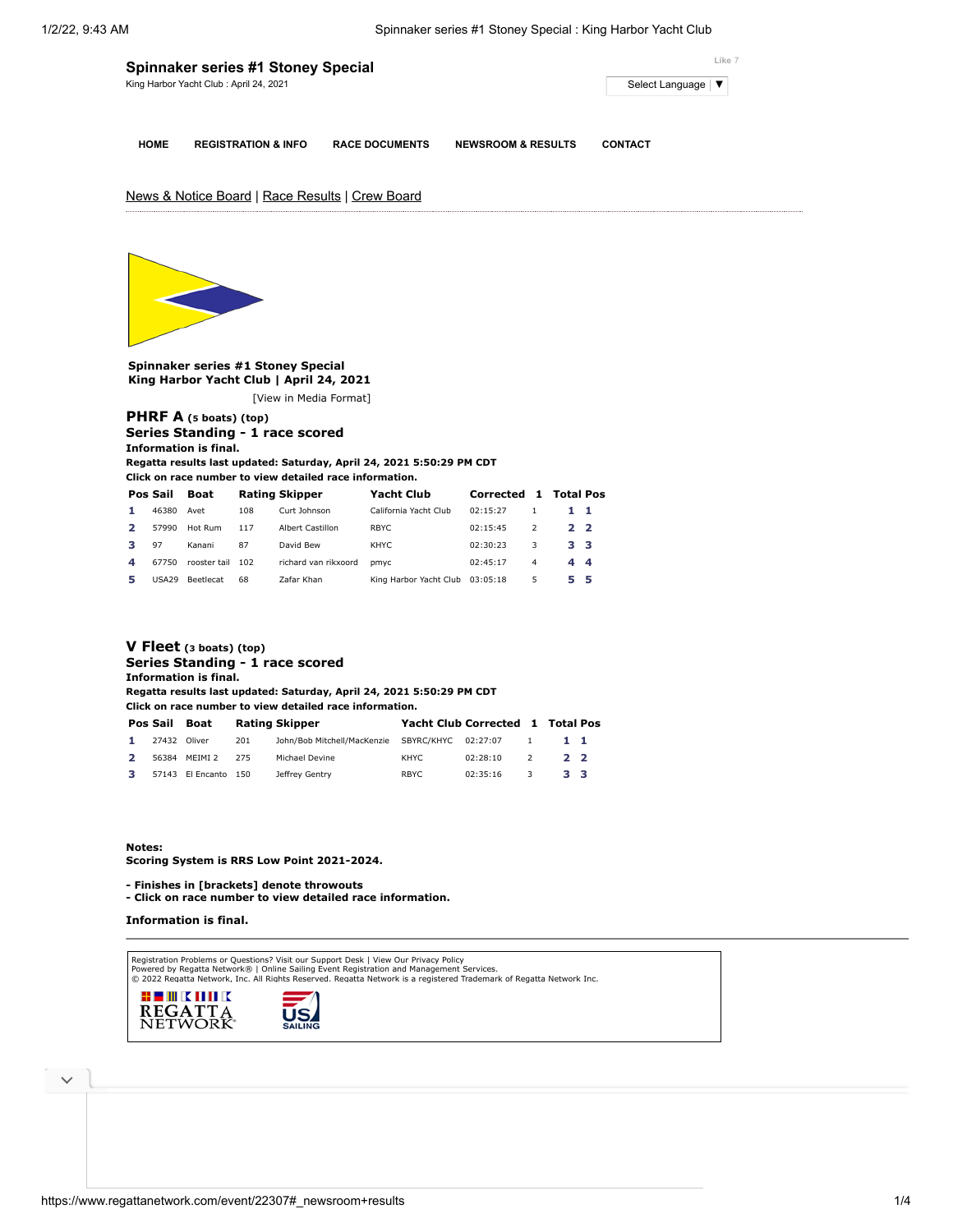|             | <b>Spinnaker series #1 Stoney Special</b><br>King Harbor Yacht Club: April 24, 2021 | Like 7<br>Select Language   ▼ |                               |                |
|-------------|-------------------------------------------------------------------------------------|-------------------------------|-------------------------------|----------------|
| <b>HOME</b> | <b>REGISTRATION &amp; INFO</b>                                                      | <b>RACE DOCUMENTS</b>         | <b>NEWSROOM &amp; RESULTS</b> | <b>CONTACT</b> |

News & Notice Board | Race Results | Crew Board



**Spinnaker series #1 Stoney Special King Harbor Yacht Club | April 24, 2021**

[\[View in Media Format\]](https://www.regattanetwork.com/clubmgmt/applet_regatta_results.php?regatta_id=22307&media_format=1)

## **[PHRF A](https://www.regattanetwork.com/clubmgmt/applet_regatta_results.php?regatta_id=22307&limit_fleet=PHRF+A) (5 boats) (top) Series Standing - 1 race scored**

**Information is final.**

**Regatta results last updated: Saturday, April 24, 2021 5:50:29 PM CDT**

**Click on race number to view detailed race information.**

|              | Pos Sail     | Boat         |     | <b>Rating Skipper</b> | <b>Yacht Club</b>               | Corrected |               | 1 Total Pos |  |
|--------------|--------------|--------------|-----|-----------------------|---------------------------------|-----------|---------------|-------------|--|
|              | 46380        | Avet         | 108 | Curt Johnson          | California Yacht Club           | 02:15:27  |               | 11          |  |
| $\mathbf{z}$ | 57990        | Hot Rum      | 117 | Albert Castillon      | RBYC                            | 02:15:45  | $\mathcal{P}$ | 22          |  |
| з.           | 97           | Kanani       | 87  | David Bew             | KHYC.                           | 02:30:23  | 3             | 33          |  |
| $\mathbf{A}$ | 67750        | rooster tail | 102 | richard van rikxoord  | pmyc                            | 02:45:17  | 4             | 44          |  |
| 5            | <b>USA29</b> | Beetlecat    | 68  | Zafar Khan            | King Harbor Yacht Club 03:05:18 |           | 5             | 55          |  |

## **[V Fleet](https://www.regattanetwork.com/clubmgmt/applet_regatta_results.php?regatta_id=22307&limit_fleet=V+Fleet) (3 boats) (top) Series Standing - 1 race scored Information is final. Regatta results last updated: Saturday, April 24, 2021 5:50:29 PM CDT Click on race number to view detailed race information. Pos Sail Boat Rating Skipper Yacht Club Corrected [1](https://www.regattanetwork.com/clubmgmt/applet_race_scores.php?regatta_id=22307&race_num=1&fleet=V+Fleet) Total Pos 1** 27432 Oliver 201 John/Bob Mitchell/MacKenzie SBYRC/KHYC 02:27:07 1 **1 1 2** 56384 MEIMI 2 275 Michael Devine KHYC 02:28:10 2 **2 2 3** 57143 El Encanto 150 Jeffrey Gentry RBYC 02:35:16 3 **3 3**

**Notes:**

**Scoring System is RRS Low Point 2021-2024.**

**- Finishes in [brackets] denote throwouts** 

**- Click on race number to view detailed race information.**

**Information is final.**

Registration Problems or Questions? [Visit our Support Desk](http://support.regattanetwork.com/) | [View Our Privacy Policy](https://www.regattanetwork.com/html/privacy.html)<br>[Powered by Regatta Network®](http://www.regattanetwork.com/) | Online Sailing Event Registration and Management Services.<br>© 2022 [Regatta Network,](http://www.regattanetwork.com/) Inc. All Rights Reserved **HEMIKHIIK U.S. REGATTA** 

 $\checkmark$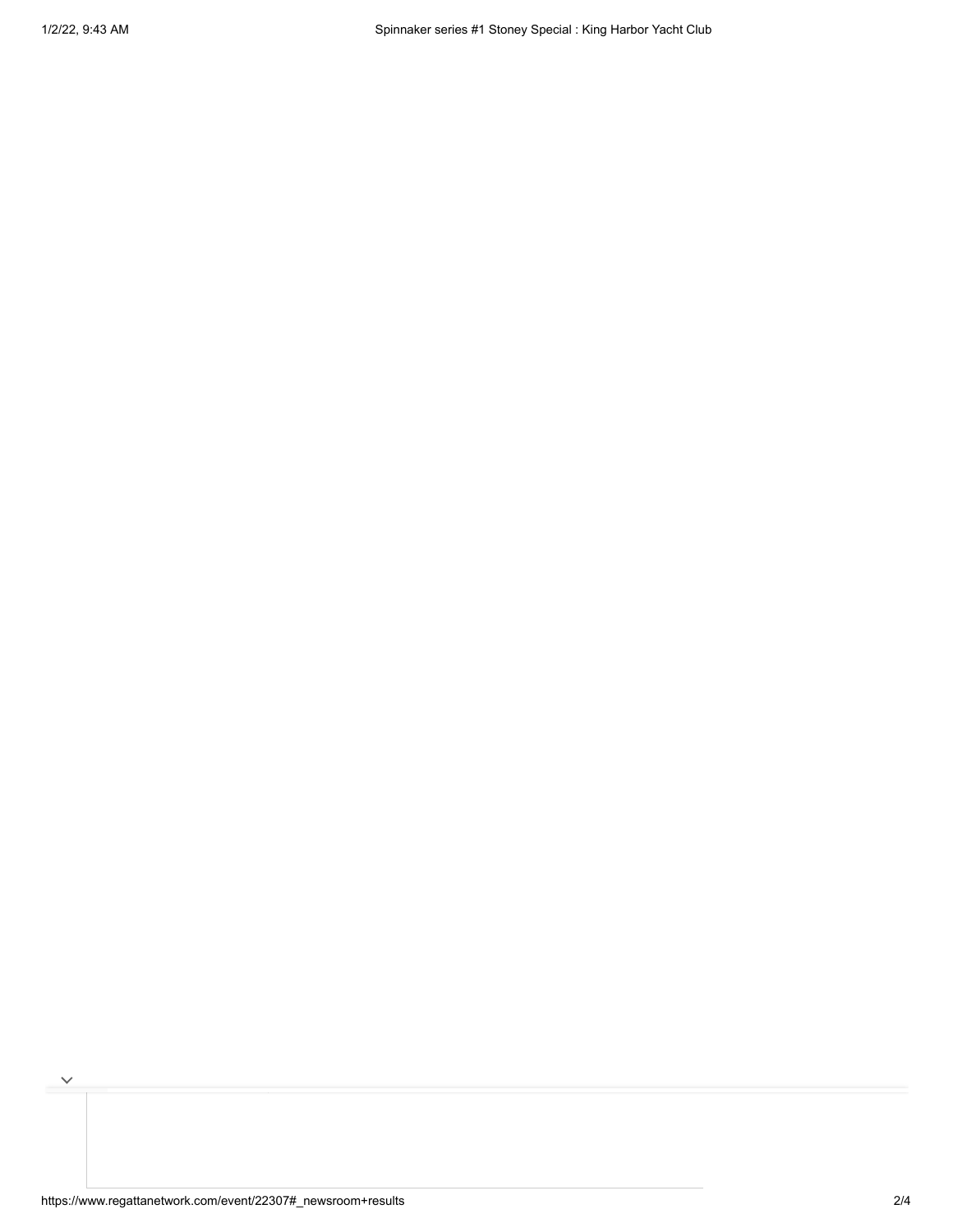$\vee$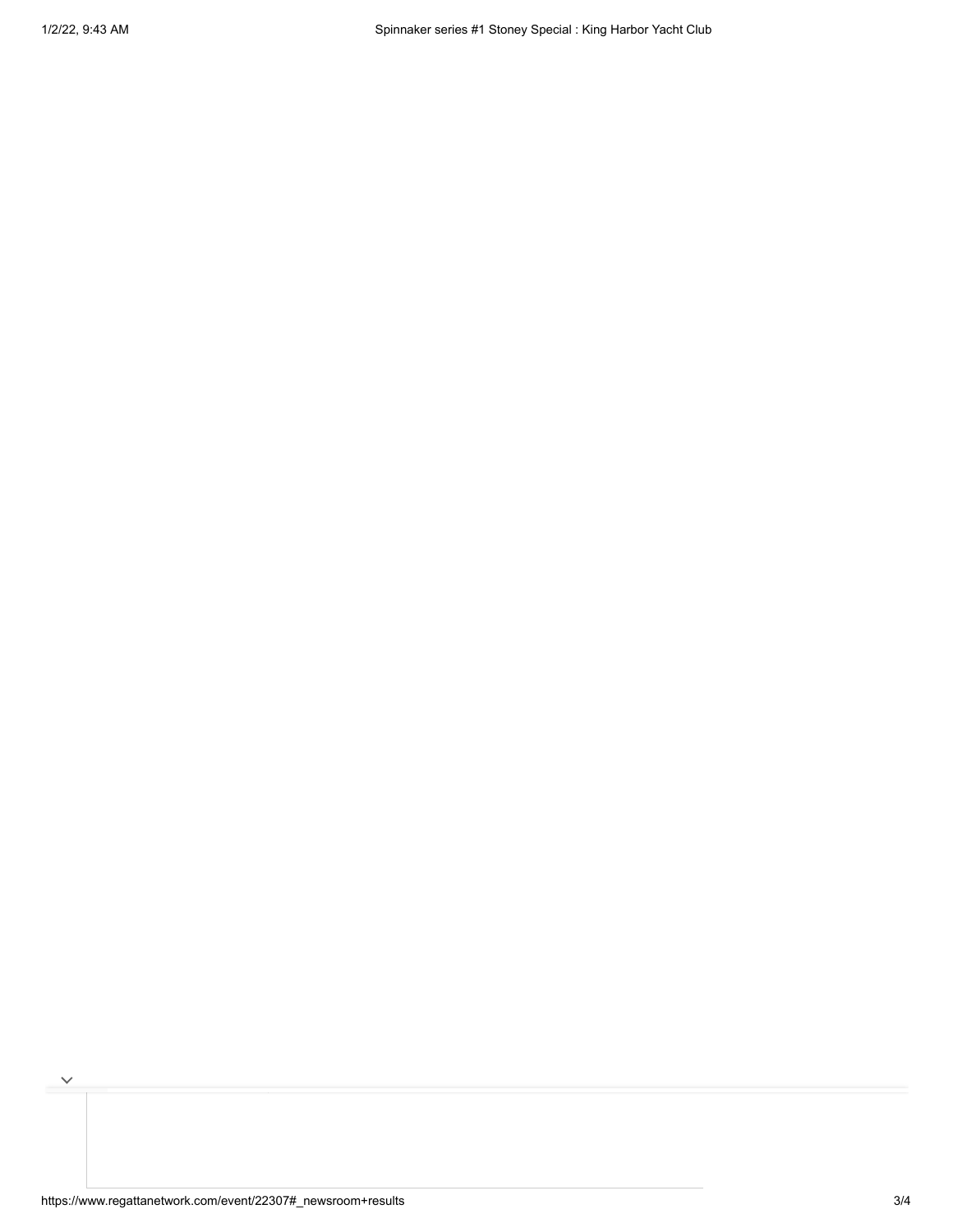$\vee$